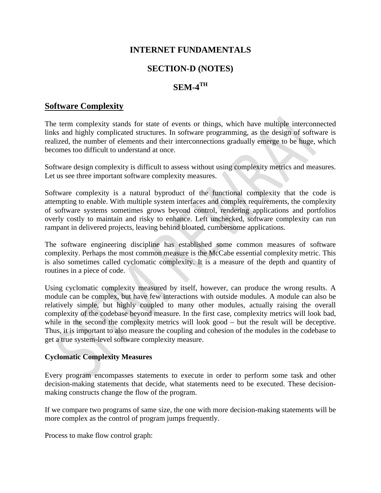## **INTERNET FUNDAMENTALS**

## **SECTION-D (NOTES)**

### **SEM-4TH**

### **Software Complexity**

The term complexity stands for state of events or things, which have multiple interconnected links and highly complicated structures. In software programming, as the design of software is realized, the number of elements and their interconnections gradually emerge to be huge, which becomes too difficult to understand at once.

Software design complexity is difficult to assess without using complexity metrics and measures. Let us see three important software complexity measures.

Software complexity is a natural byproduct of the functional complexity that the code is attempting to enable. With multiple system interfaces and complex requirements, the complexity of software systems sometimes grows beyond control, rendering applications and portfolios overly costly to maintain and risky to enhance. Left unchecked, software complexity can run rampant in delivered projects, leaving behind bloated, cumbersome applications.

The software engineering discipline has established some common measures of software complexity. Perhaps the most common measure is the McCabe essential complexity metric. This is also sometimes called cyclomatic complexity. It is a measure of the depth and quantity of routines in a piece of code.

Using cyclomatic complexity measured by itself, however, can produce the wrong results. A module can be complex, but have few interactions with outside modules. A module can also be relatively simple, but highly coupled to many other modules, actually raising the overall complexity of the codebase beyond measure. In the first case, complexity metrics will look bad, while in the second the complexity metrics will look good – but the result will be deceptive. Thus, it is important to also measure the coupling and cohesion of the modules in the codebase to get a true system-level software complexity measure.

#### **Cyclomatic Complexity Measures**

Every program encompasses statements to execute in order to perform some task and other decision-making statements that decide, what statements need to be executed. These decisionmaking constructs change the flow of the program.

If we compare two programs of same size, the one with more decision-making statements will be more complex as the control of program jumps frequently.

Process to make flow control graph: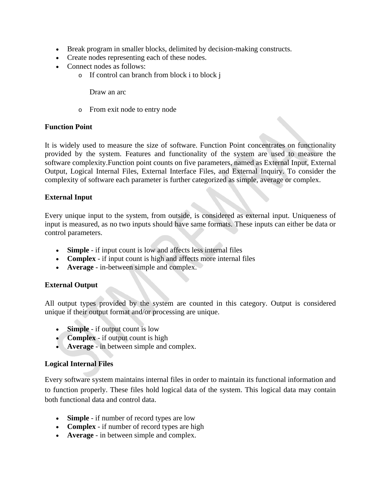- Break program in smaller blocks, delimited by decision-making constructs.
- Create nodes representing each of these nodes.
- ∑ Connect nodes as follows:
	- o If control can branch from block i to block j
		- Draw an arc
	- o From exit node to entry node

#### **Function Point**

It is widely used to measure the size of software. Function Point concentrates on functionality provided by the system. Features and functionality of the system are used to measure the software complexity.Function point counts on five parameters, named as External Input, External Output, Logical Internal Files, External Interface Files, and External Inquiry. To consider the complexity of software each parameter is further categorized as simple, average or complex.

#### **External Input**

Every unique input to the system, from outside, is considered as external input. Uniqueness of input is measured, as no two inputs should have same formats. These inputs can either be data or control parameters.

- **Simple** if input count is low and affects less internal files
- **Complex** if input count is high and affects more internal files
- **Average** in-between simple and complex.

#### **External Output**

All output types provided by the system are counted in this category. Output is considered unique if their output format and/or processing are unique.

- **Simple** if output count is low
- **Complex** if output count is high
- **Average** in between simple and complex.

#### **Logical Internal Files**

Every software system maintains internal files in order to maintain its functional information and to function properly. These files hold logical data of the system. This logical data may contain both functional data and control data.

- **Simple** if number of record types are low
- **Complex** if number of record types are high
- **Average** in between simple and complex.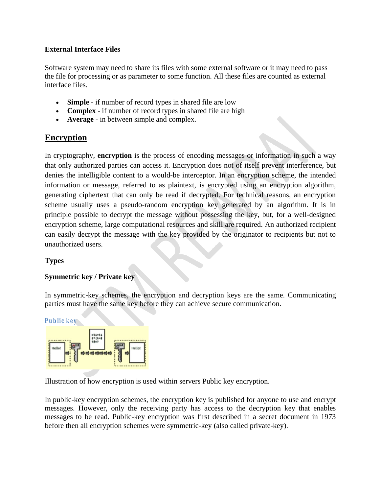### **External Interface Files**

Software system may need to share its files with some external software or it may need to pass the file for processing or as parameter to some function. All these files are counted as external interface files.

- Simple if number of record types in shared file are low
- **Complex** if number of record types in shared file are high
- **Average** in between simple and complex.

## **Encryption**

In [cryptography,](https://en.wikipedia.org/wiki/Cryptography) **encryption** is the process of encoding messages or information in such a way that only authorized parties can access it. Encryption does not of itself prevent interference, but denies the intelligible content to a would-be interceptor. In an encryption scheme, the intended information or message, referred to as [plaintext,](https://en.wikipedia.org/wiki/Plaintext) is encrypted using an encryption algorithm, generating [ciphertext](https://en.wikipedia.org/wiki/Ciphertext) that can only be read if decrypted. For technical reasons, an encryption scheme usually uses a [pseudo-random](https://en.wikipedia.org/wiki/Pseudo-random) encryption key generated by an algorithm. It is in principle possible to decrypt the message without possessing the key, but, for a well-designed encryption scheme, large computational resources and skill are required. An authorized recipient can easily decrypt the message with the [key](https://en.wikipedia.org/wiki/Key_%28cryptography%29) provided by the originator to recipients but not to unauthorized users.

### **Types**

### **Symmetric key / Private key**

In [symmetric-key](https://en.wikipedia.org/wiki/Symmetric-key_algorithm) schemes, the encryption and decryption keys are the same. Communicating parties must have the same key before they can achieve secure communication.

#### **Public key**



Illustration of how encryption is used within servers [Public key encryption.](https://en.wikipedia.org/wiki/Public_key_encryption)

In [public-key encryption](https://en.wikipedia.org/wiki/Public-key_encryption) schemes, the encryption key is published for anyone to use and encrypt messages. However, only the receiving party has access to the decryption key that enables messages to be read. Public-key encryption was first described in a secret document in 1973 before then all encryption schemes were symmetric-key (also called private-key).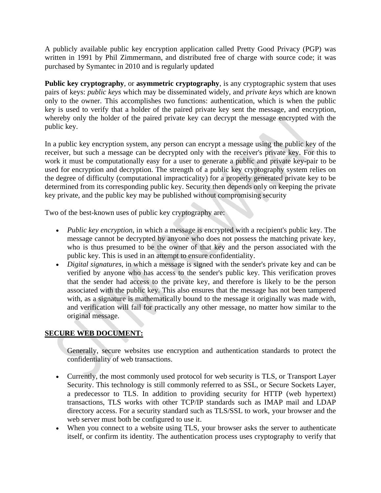A publicly available public key encryption application called [Pretty Good Privacy](https://en.wikipedia.org/wiki/Pretty_Good_Privacy) (PGP) was written in 1991 by [Phil Zimmermann,](https://en.wikipedia.org/wiki/Phil_Zimmermann) and distributed free of charge with source code; it was purchased by [Symantec](https://en.wikipedia.org/wiki/Symantec) in 2010 and is regularly updated

**Public key cryptography**, or **asymmetric cryptography**, is any cryptographic system that uses pairs of [keys:](https://en.wikipedia.org/wiki/Cryptographic_key) *public keys* which may be disseminated widely, and *private keys* which are known only to the owner. This accomplishes two functions: [authentication,](https://en.wikipedia.org/wiki/Authentication_protocol) which is when the public key is used to verify that a holder of the paired private key sent the message, and [encryption,](https://en.wikipedia.org/wiki/Encryption) whereby only the holder of the paired private key can decrypt the message encrypted with the public key.

In a public key encryption system, any person can encrypt a message using the public key of the receiver, but such a message can be decrypted only with the receiver's private key. For this to work it must be computationally easy for a user to generate a public and private key-pair to be used for encryption and decryption. The strength of a public key cryptography system relies on the degree of difficulty (computational impracticality) for a properly generated private key to be determined from its corresponding public key. Security then depends only on keeping the private key private, and the public key may be published without compromising security

Two of the best-known uses of public key cryptography are:

- ∑ *Public key encryption*, in which a message is encrypted with a recipient's public key. The message cannot be decrypted by anyone who does not possess the matching private key, who is thus presumed to be the owner of that key and the person associated with the public key. This is used in an attempt to ensure [confidentiality.](https://en.wikipedia.org/wiki/Confidentiality)
- *[Digital signatures](https://en.wikipedia.org/wiki/Digital_signature)*, in which a message is signed with the sender's private key and can be verified by anyone who has access to the sender's public key. This verification proves that the sender had access to the private key, and therefore is likely to be the person associated with the public key. This also ensures that the message has not been tampered with, as a signature is mathematically bound to the message it originally was made with, and verification will fail for practically any other message, no matter how similar to the original message.

## **SECURE WEB DOCUMENT:**

Generally, secure websites use encryption and authentication standards to protect the confidentiality of web transactions.

- Currently, the most commonly used protocol for web security is TLS, or Transport Layer Security. This technology is still commonly referred to as SSL, or Secure Sockets Layer, a predecessor to TLS. In addition to providing security for HTTP (web hypertext) transactions, TLS works with other [TCP/IP](https://kb.iu.edu/d/abkr) standards such as [IMAP](https://kb.iu.edu/d/aete) mail and LDAP directory access. For a security standard such as TLS/SSL to work, your browser and the web server must both be configured to use it.
- When you connect to a website using TLS, your browser asks the server to authenticate itself, or confirm its identity. The authentication process uses cryptography to verify that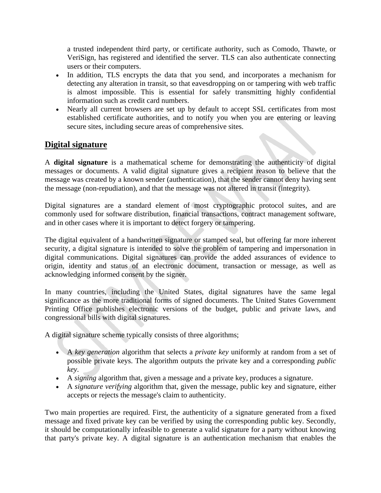a trusted independent third party, or [certificate authority,](https://kb.iu.edu/d/aoeo) such as [Comodo,](http://www.comodo.com/) [Thawte,](http://www.thawte.com/) or [VeriSign,](http://www.verisign.com/) has registered and identified the server. TLS can also authenticate connecting users or their computers.

- In addition, TLS encrypts the data that you send, and incorporates a mechanism for detecting any alteration in transit, so that eavesdropping on or tampering with web traffic is almost impossible. This is essential for safely transmitting highly confidential information such as credit card numbers.
- Nearly all current browsers are set up by default to accept SSL certificates from most established certificate authorities, and to notify you when you are entering or leaving secure sites, including secure areas of comprehensive sites.

# **Digital signature**

A **digital signature** is a mathematical scheme for demonstrating the authenticity of digital messages or documents. A valid digital signature gives a recipient reason to believe that the message was created by a known sender [\(authentication\)](https://en.wikipedia.org/wiki/Authentication), that the sender cannot deny having sent the message [\(non-repudiation\)](https://en.wikipedia.org/wiki/Non-repudiation), and that the message was not altered in transit [\(integrity\)](https://en.wikipedia.org/wiki/Data_integrity).

Digital signatures are a standard element of most [cryptographic protocol](https://en.wikipedia.org/wiki/Cryptographic_protocol) suites, and are commonly used for software distribution, financial transactions, [contract management software,](https://en.wikipedia.org/wiki/Contract_management_software) and in other cases where it is important to detect forgery or tampering.

The digital equivalent of a handwritten signature or stamped seal, but offering far more inherent security, a digital signature is intended to solve the problem of tampering and impersonation in digital communications. Digital signatures can provide the added assurances of evidence to origin, identity and status of an electronic document, transaction or message, as well as acknowledging informed consent by the signer.

In many countries, including the United States, digital signatures have the same legal significance as the more traditional forms of signed documents. The United States Government Printing Office publishes electronic versions of the budget, public and private laws, and congressional bills with digital signatures.

A digital signature scheme typically consists of three algorithms;

- A *[key generation](https://en.wikipedia.org/wiki/Key_generation)* algorithm that selects a *private key* [uniformly at random](https://en.wikipedia.org/wiki/Uniform_distribution_%28discrete%29) from a set of possible private keys. The algorithm outputs the private key and a corresponding *public key*.
- A *signing* algorithm that, given a message and a private key, produces a signature.
- A *signature verifying* algorithm that, given the message, public key and signature, either accepts or rejects the message's claim to authenticity.

Two main properties are required. First, the authenticity of a signature generated from a fixed message and fixed private key can be verified by using the corresponding public key. Secondly, it should be computationally infeasible to generate a valid signature for a party without knowing that party's private key. A digital signature is an authentication mechanism that enables the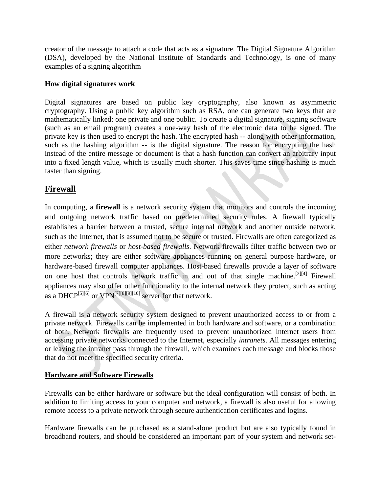creator of the message to attach a code that acts as a signature. The [Digital Signature Algorithm](https://en.wikipedia.org/wiki/Digital_Signature_Algorithm) (DSA), developed by the [National Institute of Standards and Technology,](https://en.wikipedia.org/wiki/National_Institute_of_Standards_and_Technology) is one of [many](https://en.wikipedia.org/wiki/Digital_signature#Some_digital_signature_algorithms)  [examples](https://en.wikipedia.org/wiki/Digital_signature#Some_digital_signature_algorithms) of a signing algorithm

### **How digital signatures work**

Digital signatures are based on public key cryptography, also known as [asymmetric](http://searchsecurity.techtarget.com/definition/asymmetric-cryptography)  [cryptography.](http://searchsecurity.techtarget.com/definition/asymmetric-cryptography) Using a [public key](http://searchsecurity.techtarget.com/definition/public-key) [algorithm](http://whatis.techtarget.com/definition/algorithm) such as [RSA,](http://searchsecurity.techtarget.com/definition/RSA) one can generate two keys that are mathematically linked: one private and one public. To create a digital signature, signing software (such as an email program) creates a one-way hash of the electronic data to be signed. The [private key](http://searchsecurity.techtarget.com/definition/private-key) is then used to encrypt the hash. The encrypted hash -- along with other information, such as the [hashing](http://searchsqlserver.techtarget.com/definition/hashing) algorithm -- is the digital signature. The reason for encrypting the hash instead of the entire message or document is that a hash function can convert an arbitrary input into a fixed length value, which is usually much shorter. This saves time since hashing is much faster than signing.

# **Firewall**

In [computing,](https://en.wikipedia.org/wiki/Computing) a **firewall** is a [network security](https://en.wikipedia.org/wiki/Network_security) system that monitors and controls the incoming and outgoing network traffic based on predetermined security rules. A firewall typically establishes a barrier between a trusted, secure internal network and another outside network, such as the Internet, that is assumed not to be secure or trusted. Firewalls are often categorized as either *network firewalls* or *host-based firewalls*. Network firewalls filter traffic between two or more networks; they are either [software appliances](https://en.wikipedia.org/wiki/Software_appliance) running on general purpose hardware, or hardware-based [firewall computer appliances.](https://en.wikipedia.org/wiki/Computer_appliance#Types_of_appliances) Host-based firewalls provide a layer of software on one host that controls network traffic in and out of that single machine.<sup>[\[3\]\[4\]](https://en.wikipedia.org/wiki/Firewall_%28computing%29#cite_note-3)</sup> Firewall appliances may also offer other functionality to the internal network they protect, such as acting as a DHCP<sup>[5][\[6\]](https://en.wikipedia.org/wiki/Firewall_%28computing%29#cite_note-6)</sup> or  $VPN^{[7][8][9][10]}$  $VPN^{[7][8][9][10]}$  $VPN^{[7][8][9][10]}$  $VPN^{[7][8][9][10]}$  server for that network.

A firewall is a network security system designed to prevent unauthorized [access](http://www.webopedia.com/TERM/A/access.html) to or from a private [network.](http://www.webopedia.com/TERM/N/network.html) Firewalls can be implemented in both [hardware](http://www.webopedia.com/TERM/H/hardware.html) and [software,](http://www.webopedia.com/TERM/S/software.html) or a combination of both. Network firewalls are frequently used to prevent unauthorized [Internet](http://www.webopedia.com/TERM/I/Internet.html) users from accessing private networks connected to the Internet, especially *[intranets](http://www.webopedia.com/TERM/I/intranet.html)*. All messages entering or leaving the intranet pass through the firewall, which examines each message and blocks those that do not meet the specified [security](http://www.webopedia.com/TERM/S/security.html) criteria.

### **Hardware and Software Firewalls**

Firewalls can be either hardware or software but the ideal configuration will consist of both. In addition to limiting access to your computer and network, a firewall is also useful for allowing remote access to a private network through secure authentication certificates and logins.

Hardware firewalls can be purchased as a stand-alone product but are also typically found in broadband routers, and should be considered an important part of your system and network set